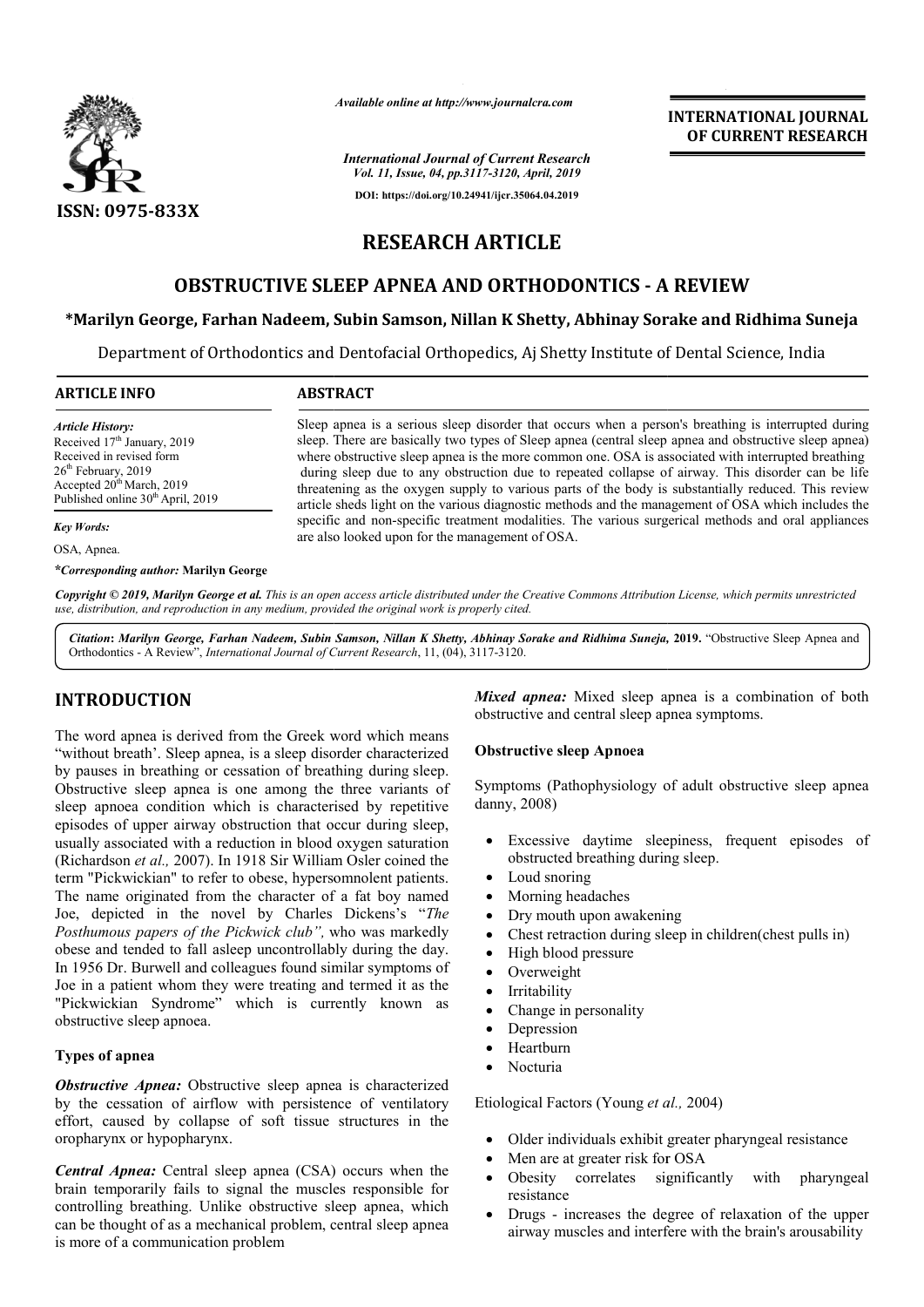

*Available online at http://www.journalcra.com*

*International Journal of Current Research Vol. 11, Issue, 04, pp.3117-3120, April, 2019* **DOI: https://doi.org/10.24941/ijcr.35064.04.2019**

**INTERNATIONAL JOURNAL OF CURRENT RESEARCH**

# **RESEARCH ARTICLE**

# **OBSTRUCTIVE SLEEP APNEA AND ORTHODONTICS - A REVIEW**

# **\*Marilyn George, Farhan Nadeem, Subin Samson, Nillan K Shetty, Abhinay Sorake and Ridhima Suneja Marilyn Samson, Nillan Abhinay Sorake**

Department of Orthodontics and Dentofacial Orthopedics, Aj Shetty Institute of Dental Science, India

# **ARTICLE INFO ABSTRACT**

*Article History:* Received 17<sup>th</sup> January, 2019 Received in revised form 26<sup>th</sup> February, 2019  $\text{Accepted } 20^{\text{th}} \text{March}$ , 2019 Published online 30<sup>th</sup> April, 2019

*Key Words:*

OSA, Apnea.

*\*Corresponding author:* **Marilyn George**

Copyright © 2019, Marilyn George et al. This is an open access article distributed under the Creative Commons Attribution License, which permits unrestrictea *use, distribution, and reproduction in any medium, provided the original work is properly cited.*

are also looked upon for the management of OSA.

Citation: Marilyn George, Farhan Nadeem, Subin Samson, Nillan K Shetty, Abhinay Sorake and Ridhima Suneja, 2019. "Obstructive Sleep Apnea and Orthodontics - A Review", *International Journal of Current Research* , 11, (04), 3117-3120.

# **INTRODUCTION**

The word apnea is derived from the Greek word which means "without breath'. Sleep apnea, is a sleep disorder characterized by pauses in breathing or cessation of breathing during sleep. Obstructive sleep apnea is one among the three variants of sleep apnoea condition which is characterised by repetitive episodes of upper airway obstruction that occur during sleep, usually associated with a reduction in blood oxygen saturation (Richardson *et al.,* 2007). In 1918 Sir William Osler coined the term "Pickwickian" to refer to obese, hypersomnolent patients. The name originated from the character of a fat boy named Joe, depicted in the novel by Charles Dickens's "The *Posthumous papers of the Pickwick club",* who was markedly obese and tended to fall asleep uncontrollably during the day. In 1956 Dr. Burwell and colleagues found similar symptoms of Joe in a patient whom they were treating and termed it as the "Pickwickian Syndrome" which is currently known as obstructive sleep apnoea. o refer to obese, hypersomnolent patients.<br>I from the character of a fat boy named<br>he novel by Charles Dickens's "*The* 

# **Types of apnea**

*Obstructive Apnea:* Obstructive sleep apnea is characterized by the cessation of airflow with persistence of ventilatory effort, caused by collapse of soft tissue structures in the oropharynx or hypopharynx.

*Central Apnea:* Central sleep apnea (CSA) occurs when the brain temporarily fails to signal the muscles responsible for controlling breathing. Unlike obstructive sleep apnea, which can be thought of as a mechanical problem, central sleep apnea is more of a communication problem

*Mixed apnea:* Mixed sleep apnea is a combination of both obstructive and central sleep apnea symptoms.

# **Obstructive sleep Apnoea**

Sleep apnea is a serious sleep disorder that occurs when a person's breathing is interrupted during sleep. There are basically two types of Sleep apnea (central sleep apnea and obstructive sleep apnea) where obstructive sleep apnea is the more common one. OSA is associated with interrupted breathing during sleep due to any obstruction due to repeated collapse of airway. This disorder can be life threatening as the oxygen supply to various parts of the body is substantially reduced. This review article sheds light on the various diagnostic methods and the management of OSA which includes the specific and non-specific treatment modalities. The various surgerical methods and oral appliances

Sleep apnea is a serious sleep disorder that occurs when a person's breathing is interrupted during<br>sleep. There are basically two types of Sleep apnea (central sleep apnea and obstructive sleep apnea)<br>where obstructive sl

Symptoms (Pathophysiology of adult obstructive sleep apnea danny, 2008) Fixed apnea: Mixed sleep apnea is a combination of both<br>
bstructive and central sleep apnea symptoms.<br>
bstructive sleep Apnoea<br>
ymptoms (Pathophysiology of adult obstructive sleep apnea<br>
anny, 2008)<br>
• Excessive daytime sl

- obstructed breathing during sleep.
- Loud snoring
- Morning headaches
- Dry mouth upon awakening
- obstructed breathing during sleep.<br>
 Loud snoring<br>
 Morning headaches<br>
 Dry mouth upon awakening<br>
 Chest retraction during sleep in children(chest pulls in)
- High blood pressure
- Overweight
- Irritability
- Change in personality
- Depression
- Heartburn
- Nocturia

Etiological Factors (Young *et al.,*  2004)

- Older individuals exhibit greater pharyngeal resistance
- Men are at greater risk for OSA
- Men are at greater risk for OSA<br>• Obesity correlates significantly with pharyngeal resistance
- Drugs increases the degree of relaxation of the upper airway muscles and interfere with the brain's arousability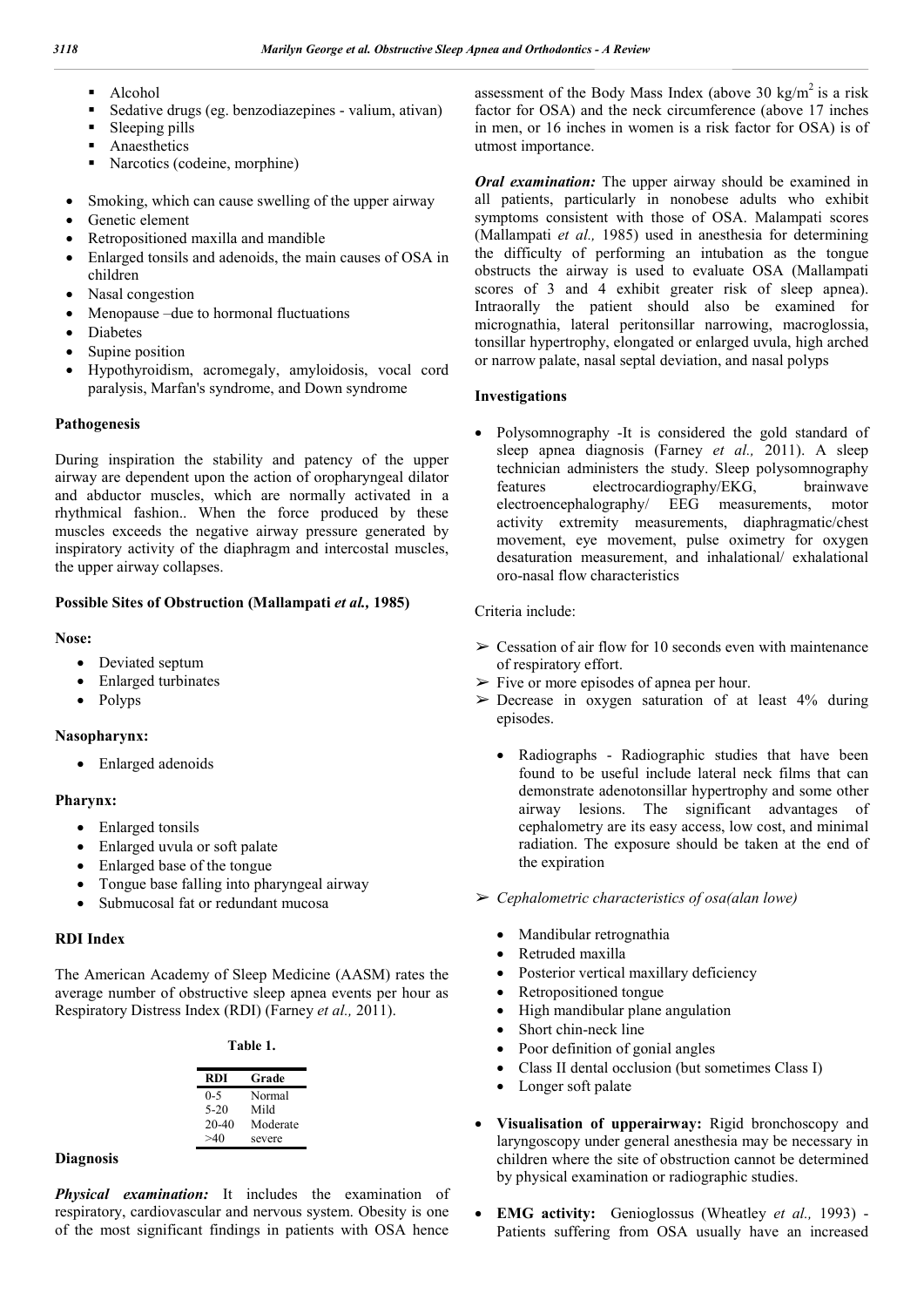- Alcohol
- Sedative drugs (eg. benzodiazepines valium, ativan)
- Sleeping pills
- Anaesthetics
- Narcotics (codeine, morphine)
- Smoking, which can cause swelling of the upper airway
- Genetic element
- Retropositioned maxilla and mandible
- Enlarged tonsils and adenoids, the main causes of OSA in children
- Nasal congestion
- Menopause –due to hormonal fluctuations
- Diabetes
- Supine position
- Hypothyroidism, acromegaly, amyloidosis, vocal cord paralysis, Marfan's syndrome, and Down syndrome

#### **Pathogenesis**

During inspiration the stability and patency of the upper airway are dependent upon the action of oropharyngeal dilator and abductor muscles, which are normally activated in a rhythmical fashion.. When the force produced by these muscles exceeds the negative airway pressure generated by inspiratory activity of the diaphragm and intercostal muscles, the upper airway collapses.

#### **Possible Sites of Obstruction (Mallampati** *et al.,* **1985)**

#### **Nose:**

- Deviated septum
- Enlarged turbinates
- Polyps

#### **Nasopharynx:**

• Enlarged adenoids

# **Pharynx:**

- Enlarged tonsils
- Enlarged uvula or soft palate
- Enlarged base of the tongue
- Tongue base falling into pharyngeal airway
- Submucosal fat or redundant mucosa

# **RDI Index**

The American Academy of Sleep Medicine (AASM) rates the average number of obstructive sleep apnea events per hour as Respiratory Distress Index (RDI) (Farney *et al.,* 2011).

| `able |  |  |  |
|-------|--|--|--|
|-------|--|--|--|

| <b>RDI</b> | Grade    |
|------------|----------|
| 0-5        | Normal   |
| $5-20$     | Mild     |
| $20 - 40$  | Moderate |
| >40        | severe   |

#### **Diagnosis**

*Physical examination:* It includes the examination of respiratory, cardiovascular and nervous system. Obesity is one of the most significant findings in patients with OSA hence assessment of the Body Mass Index (above 30 kg/m<sup>2</sup> is a risk factor for OSA) and the neck circumference (above 17 inches in men, or 16 inches in women is a risk factor for OSA) is of utmost importance.

*Oral examination:* The upper airway should be examined in all patients, particularly in nonobese adults who exhibit symptoms consistent with those of OSA. Malampati scores (Mallampati *et al.,* 1985) used in anesthesia for determining the difficulty of performing an intubation as the tongue obstructs the airway is used to evaluate OSA (Mallampati scores of 3 and 4 exhibit greater risk of sleep apnea). Intraorally the patient should also be examined for micrognathia, lateral peritonsillar narrowing, macroglossia, tonsillar hypertrophy, elongated or enlarged uvula, high arched or narrow palate, nasal septal deviation, and nasal polyps

#### **Investigations**

 Polysomnography -It is considered the gold standard of sleep apnea diagnosis (Farney *et al.,* 2011). A sleep technician administers the study. Sleep polysomnography features electrocardiography/EKG, brainwave electroencephalography/ EEG measurements, motor activity extremity measurements, diaphragmatic/chest movement, eye movement, pulse oximetry for oxygen desaturation measurement, and inhalational/ exhalational oro-nasal flow characteristics

#### Criteria include:

- $\geq$  Cessation of air flow for 10 seconds even with maintenance of respiratory effort.
- $\triangleright$  Five or more episodes of apnea per hour.
- $\geq$  Decrease in oxygen saturation of at least 4% during episodes.
	- Radiographs Radiographic studies that have been found to be useful include lateral neck films that can demonstrate adenotonsillar hypertrophy and some other airway lesions. The significant advantages of cephalometry are its easy access, low cost, and minimal radiation. The exposure should be taken at the end of the expiration
- ➢ *Cephalometric characteristics of osa(alan lowe)*
	- Mandibular retrognathia
	- Retruded maxilla
	- Posterior vertical maxillary deficiency
	- Retropositioned tongue
	- High mandibular plane angulation
	- Short chin-neck line
	- Poor definition of gonial angles
	- Class II dental occlusion (but sometimes Class I)
	- Longer soft palate
- **Visualisation of upperairway:** Rigid bronchoscopy and laryngoscopy under general anesthesia may be necessary in children where the site of obstruction cannot be determined by physical examination or radiographic studies.
- **EMG activity:** Genioglossus (Wheatley *et al.,* 1993) Patients suffering from OSA usually have an increased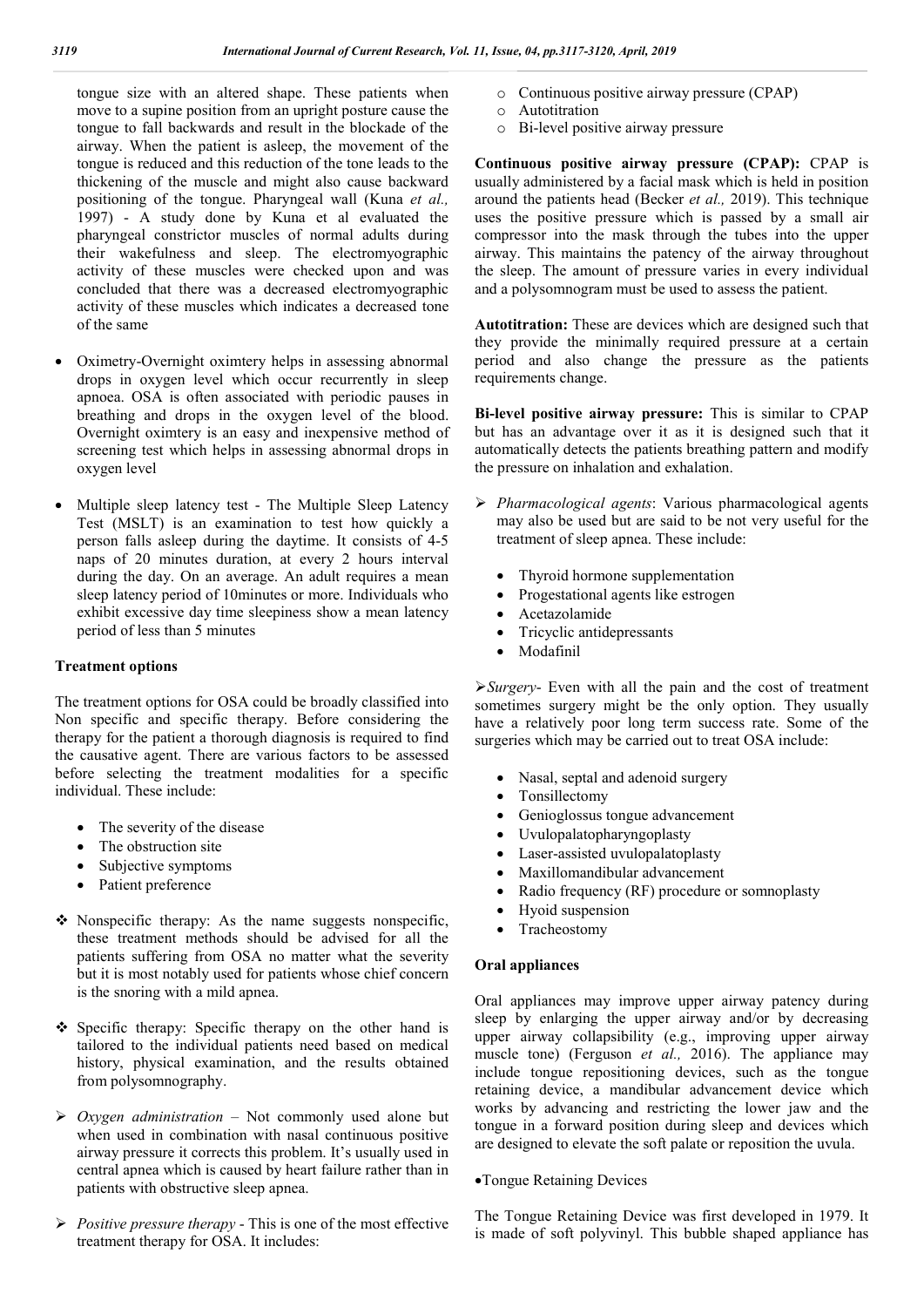tongue size with an altered shape. These patients when move to a supine position from an upright posture cause the tongue to fall backwards and result in the blockade of the airway. When the patient is asleep, the movement of the tongue is reduced and this reduction of the tone leads to the thickening of the muscle and might also cause backward positioning of the tongue. Pharyngeal wall (Kuna *et al.,*  1997) - A study done by Kuna et al evaluated the pharyngeal constrictor muscles of normal adults during their wakefulness and sleep. The electromyographic activity of these muscles were checked upon and was concluded that there was a decreased electromyographic activity of these muscles which indicates a decreased tone of the same

- Oximetry-Overnight oximtery helps in assessing abnormal drops in oxygen level which occur recurrently in sleep apnoea. OSA is often associated with periodic pauses in breathing and drops in the oxygen level of the blood. Overnight oximtery is an easy and inexpensive method of screening test which helps in assessing abnormal drops in oxygen level
- Multiple sleep latency test The Multiple Sleep Latency Test (MSLT) is an examination to test how quickly a person falls asleep during the daytime. It consists of 4-5 naps of 20 minutes duration, at every 2 hours interval during the day. On an average. An adult requires a mean sleep latency period of 10minutes or more. Individuals who exhibit excessive day time sleepiness show a mean latency period of less than 5 minutes

# **Treatment options**

The treatment options for OSA could be broadly classified into Non specific and specific therapy. Before considering the therapy for the patient a thorough diagnosis is required to find the causative agent. There are various factors to be assessed before selecting the treatment modalities for a specific individual. These include:

- The severity of the disease
- The obstruction site
- Subjective symptoms
- Patient preference
- Nonspecific therapy: As the name suggests nonspecific, these treatment methods should be advised for all the patients suffering from OSA no matter what the severity but it is most notably used for patients whose chief concern is the snoring with a mild apnea.
- Specific therapy: Specific therapy on the other hand is tailored to the individual patients need based on medical history, physical examination, and the results obtained from polysomnography.
- *Oxygen administration* Not commonly used alone but when used in combination with nasal continuous positive airway pressure it corrects this problem. It's usually used in central apnea which is caused by heart failure rather than in patients with obstructive sleep apnea.
- *Positive pressure therapy* This is one of the most effective treatment therapy for OSA. It includes:
- o Continuous positive airway pressure (CPAP)
- o Autotitration
- o Bi-level positive airway pressure

**Continuous positive airway pressure (CPAP):** CPAP is usually administered by a facial mask which is held in position around the patients head (Becker *et al.,* 2019). This technique uses the positive pressure which is passed by a small air compressor into the mask through the tubes into the upper airway. This maintains the patency of the airway throughout the sleep. The amount of pressure varies in every individual and a polysomnogram must be used to assess the patient.

**Autotitration:** These are devices which are designed such that they provide the minimally required pressure at a certain period and also change the pressure as the patients requirements change.

**Bi-level positive airway pressure:** This is similar to CPAP but has an advantage over it as it is designed such that it automatically detects the patients breathing pattern and modify the pressure on inhalation and exhalation.

- *Pharmacological agents*: Various pharmacological agents may also be used but are said to be not very useful for the treatment of sleep apnea. These include:
	- Thyroid hormone supplementation
	- Progestational agents like estrogen
	- Acetazolamide
	- Tricyclic antidepressants
	- Modafinil

*Surgery*- Even with all the pain and the cost of treatment sometimes surgery might be the only option. They usually have a relatively poor long term success rate. Some of the surgeries which may be carried out to treat OSA include:

- Nasal, septal and adenoid surgery
- Tonsillectomy
- Genioglossus tongue advancement
- Uvulopalatopharyngoplasty
- Laser-assisted uvulopalatoplasty
- Maxillomandibular advancement
- Radio frequency (RF) procedure or somnoplasty
- Hyoid suspension
- Tracheostomy

# **Oral appliances**

Oral appliances may improve upper airway patency during sleep by enlarging the upper airway and/or by decreasing upper airway collapsibility (e.g., improving upper airway muscle tone) (Ferguson *et al.,* 2016). The appliance may include tongue repositioning devices, such as the tongue retaining device, a mandibular advancement device which works by advancing and restricting the lower jaw and the tongue in a forward position during sleep and devices which are designed to elevate the soft palate or reposition the uvula.

# Tongue Retaining Devices

The Tongue Retaining Device was first developed in 1979. It is made of soft polyvinyl. This bubble shaped appliance has